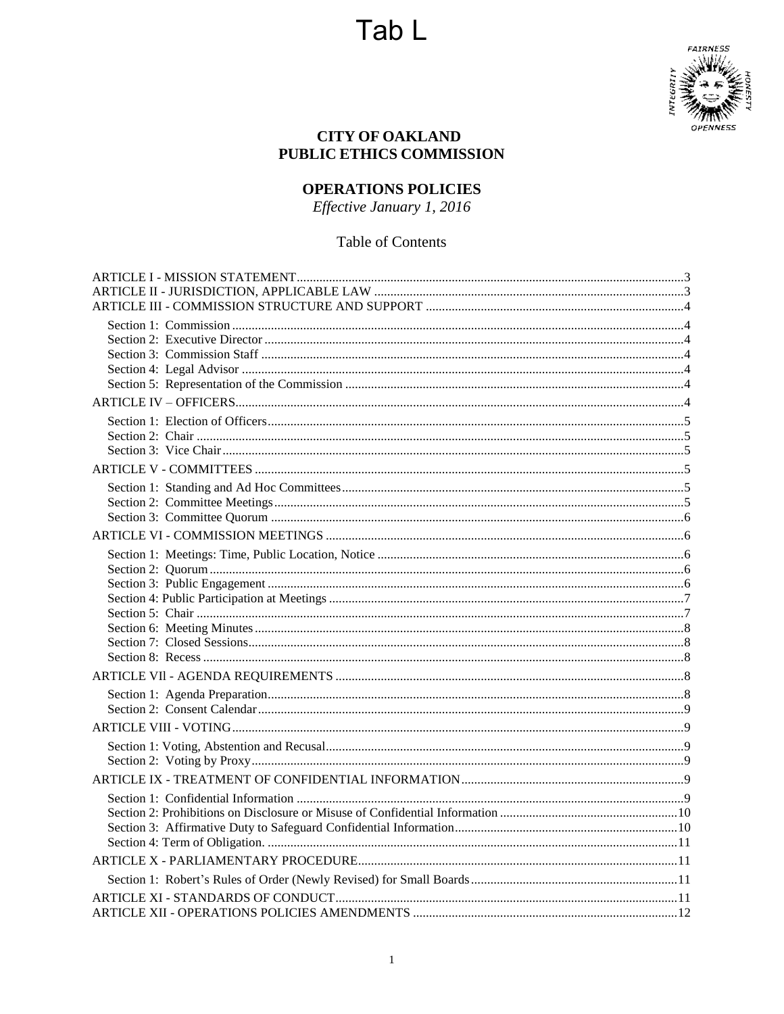

## **CITY OF OAKLAND** PUBLIC ETHICS COMMISSION

# **OPERATIONS POLICIES**

Effective January 1, 2016

# Table of Contents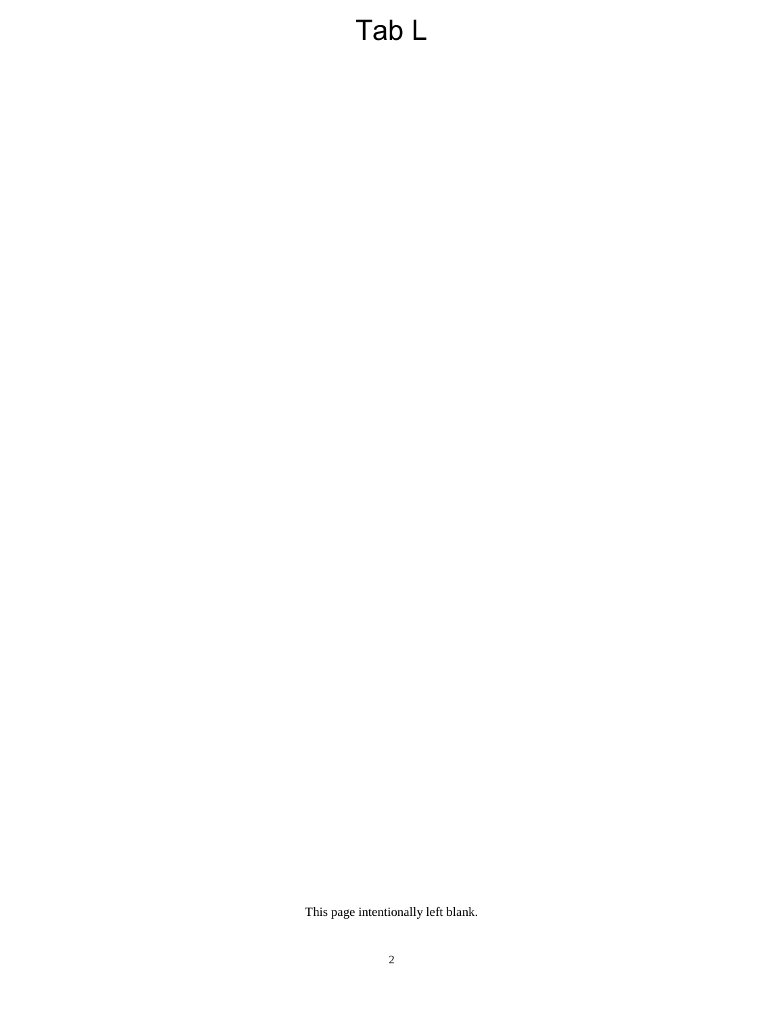This page intentionally left blank.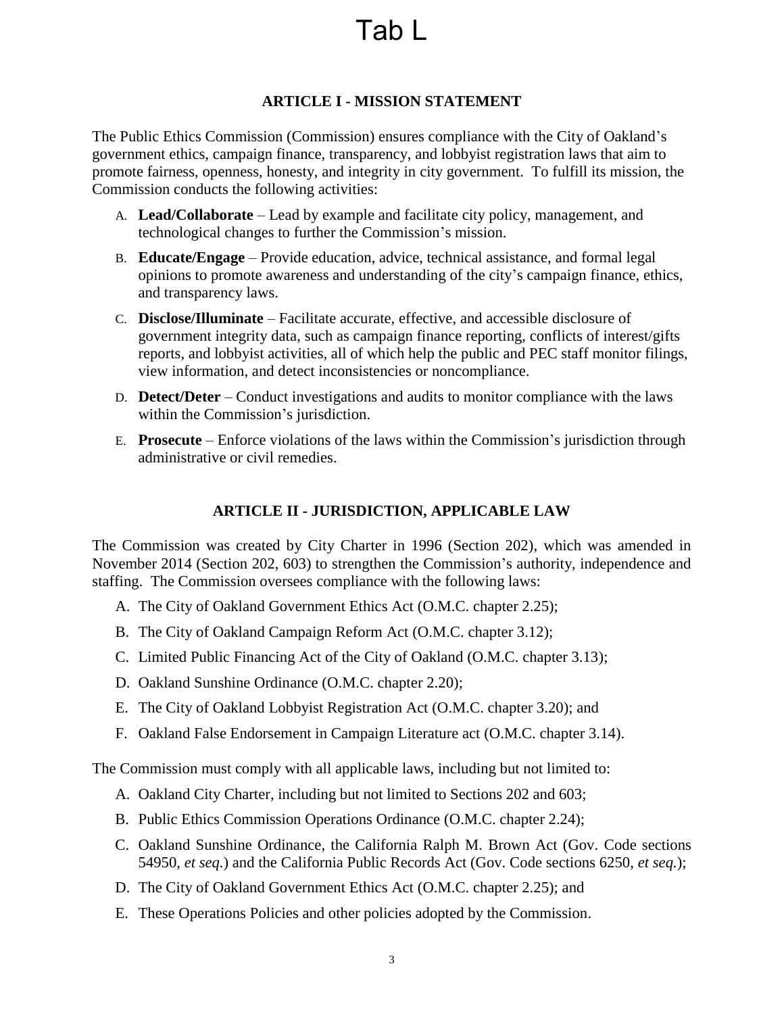# **ARTICLE I - MISSION STATEMENT**

<span id="page-2-0"></span>The Public Ethics Commission (Commission) ensures compliance with the City of Oakland's government ethics, campaign finance, transparency, and lobbyist registration laws that aim to promote fairness, openness, honesty, and integrity in city government. To fulfill its mission, the Commission conducts the following activities:

- A. **Lead/Collaborate** Lead by example and facilitate city policy, management, and technological changes to further the Commission's mission.
- B. **Educate/Engage** Provide education, advice, technical assistance, and formal legal opinions to promote awareness and understanding of the city's campaign finance, ethics, and transparency laws.
- C. **Disclose/Illuminate**  Facilitate accurate, effective, and accessible disclosure of government integrity data, such as campaign finance reporting, conflicts of interest/gifts reports, and lobbyist activities, all of which help the public and PEC staff monitor filings, view information, and detect inconsistencies or noncompliance.
- D. **Detect/Deter** Conduct investigations and audits to monitor compliance with the laws within the Commission's jurisdiction.
- E. **Prosecute**  Enforce violations of the laws within the Commission's jurisdiction through administrative or civil remedies.

# **ARTICLE II - JURISDICTION, APPLICABLE LAW**

<span id="page-2-1"></span>The Commission was created by City Charter in 1996 (Section 202), which was amended in November 2014 (Section 202, 603) to strengthen the Commission's authority, independence and staffing. The Commission oversees compliance with the following laws:

- A. The City of Oakland Government Ethics Act (O.M.C. chapter 2.25);
- B. The City of Oakland Campaign Reform Act (O.M.C. chapter 3.12);
- C. Limited Public Financing Act of the City of Oakland (O.M.C. chapter 3.13);
- D. Oakland Sunshine Ordinance (O.M.C. chapter 2.20);
- E. The City of Oakland Lobbyist Registration Act (O.M.C. chapter 3.20); and
- F. Oakland False Endorsement in Campaign Literature act (O.M.C. chapter 3.14).

The Commission must comply with all applicable laws, including but not limited to:

- A. Oakland City Charter, including but not limited to Sections 202 and 603;
- B. Public Ethics Commission Operations Ordinance (O.M.C. chapter 2.24);
- C. Oakland Sunshine Ordinance, the California Ralph M. Brown Act (Gov. Code sections 54950, *et seq.*) and the California Public Records Act (Gov. Code sections 6250, *et seq.*);
- D. The City of Oakland Government Ethics Act (O.M.C. chapter 2.25); and
- E. These Operations Policies and other policies adopted by the Commission.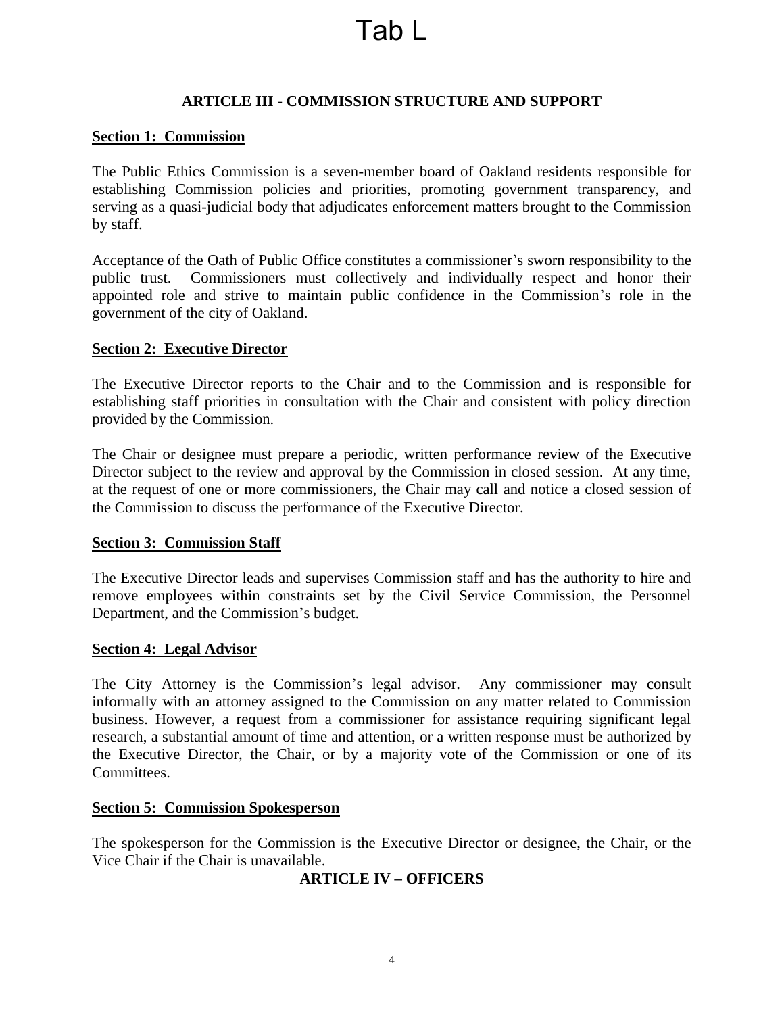## **ARTICLE III - COMMISSION STRUCTURE AND SUPPORT**

#### <span id="page-3-1"></span><span id="page-3-0"></span>**Section 1: Commission**

The Public Ethics Commission is a seven-member board of Oakland residents responsible for establishing Commission policies and priorities, promoting government transparency, and serving as a quasi-judicial body that adjudicates enforcement matters brought to the Commission by staff.

Acceptance of the Oath of Public Office constitutes a commissioner's sworn responsibility to the public trust. Commissioners must collectively and individually respect and honor their appointed role and strive to maintain public confidence in the Commission's role in the government of the city of Oakland.

#### <span id="page-3-2"></span>**Section 2: Executive Director**

The Executive Director reports to the Chair and to the Commission and is responsible for establishing staff priorities in consultation with the Chair and consistent with policy direction provided by the Commission.

The Chair or designee must prepare a periodic, written performance review of the Executive Director subject to the review and approval by the Commission in closed session. At any time, at the request of one or more commissioners, the Chair may call and notice a closed session of the Commission to discuss the performance of the Executive Director.

#### <span id="page-3-3"></span>**Section 3: Commission Staff**

The Executive Director leads and supervises Commission staff and has the authority to hire and remove employees within constraints set by the Civil Service Commission, the Personnel Department, and the Commission's budget.

#### <span id="page-3-4"></span>**Section 4: Legal Advisor**

The City Attorney is the Commission's legal advisor. Any commissioner may consult informally with an attorney assigned to the Commission on any matter related to Commission business. However, a request from a commissioner for assistance requiring significant legal research, a substantial amount of time and attention, or a written response must be authorized by the Executive Director, the Chair, or by a majority vote of the Commission or one of its Committees.

#### <span id="page-3-5"></span>**Section 5: Commission Spokesperson**

<span id="page-3-6"></span>The spokesperson for the Commission is the Executive Director or designee, the Chair, or the Vice Chair if the Chair is unavailable.

#### **ARTICLE IV – OFFICERS**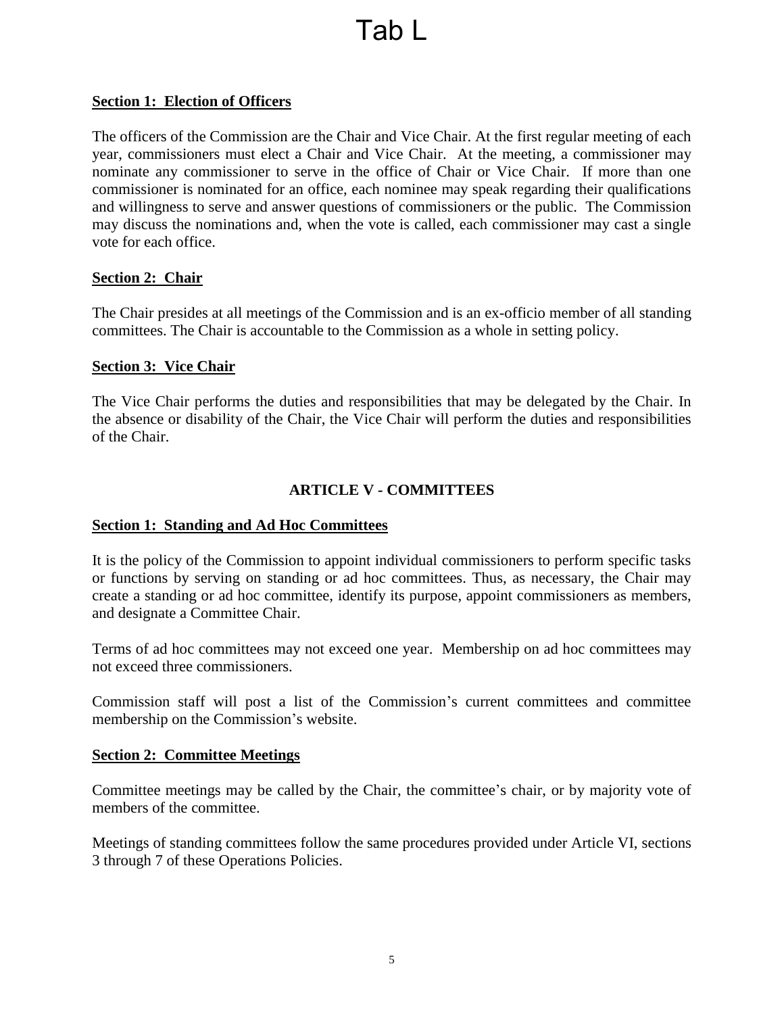## <span id="page-4-0"></span>**Section 1: Election of Officers**

The officers of the Commission are the Chair and Vice Chair. At the first regular meeting of each year, commissioners must elect a Chair and Vice Chair. At the meeting, a commissioner may nominate any commissioner to serve in the office of Chair or Vice Chair. If more than one commissioner is nominated for an office, each nominee may speak regarding their qualifications and willingness to serve and answer questions of commissioners or the public. The Commission may discuss the nominations and, when the vote is called, each commissioner may cast a single vote for each office.

#### <span id="page-4-1"></span>**Section 2: Chair**

The Chair presides at all meetings of the Commission and is an ex-officio member of all standing committees. The Chair is accountable to the Commission as a whole in setting policy.

#### <span id="page-4-2"></span>**Section 3: Vice Chair**

The Vice Chair performs the duties and responsibilities that may be delegated by the Chair. In the absence or disability of the Chair, the Vice Chair will perform the duties and responsibilities of the Chair.

# **ARTICLE V - COMMITTEES**

#### <span id="page-4-4"></span><span id="page-4-3"></span>**Section 1: Standing and Ad Hoc Committees**

It is the policy of the Commission to appoint individual commissioners to perform specific tasks or functions by serving on standing or ad hoc committees. Thus, as necessary, the Chair may create a standing or ad hoc committee, identify its purpose, appoint commissioners as members, and designate a Committee Chair.

Terms of ad hoc committees may not exceed one year. Membership on ad hoc committees may not exceed three commissioners.

Commission staff will post a list of the Commission's current committees and committee membership on the Commission's website.

#### <span id="page-4-5"></span>**Section 2: Committee Meetings**

Committee meetings may be called by the Chair, the committee's chair, or by majority vote of members of the committee.

Meetings of standing committees follow the same procedures provided under Article VI, sections 3 through 7 of these Operations Policies.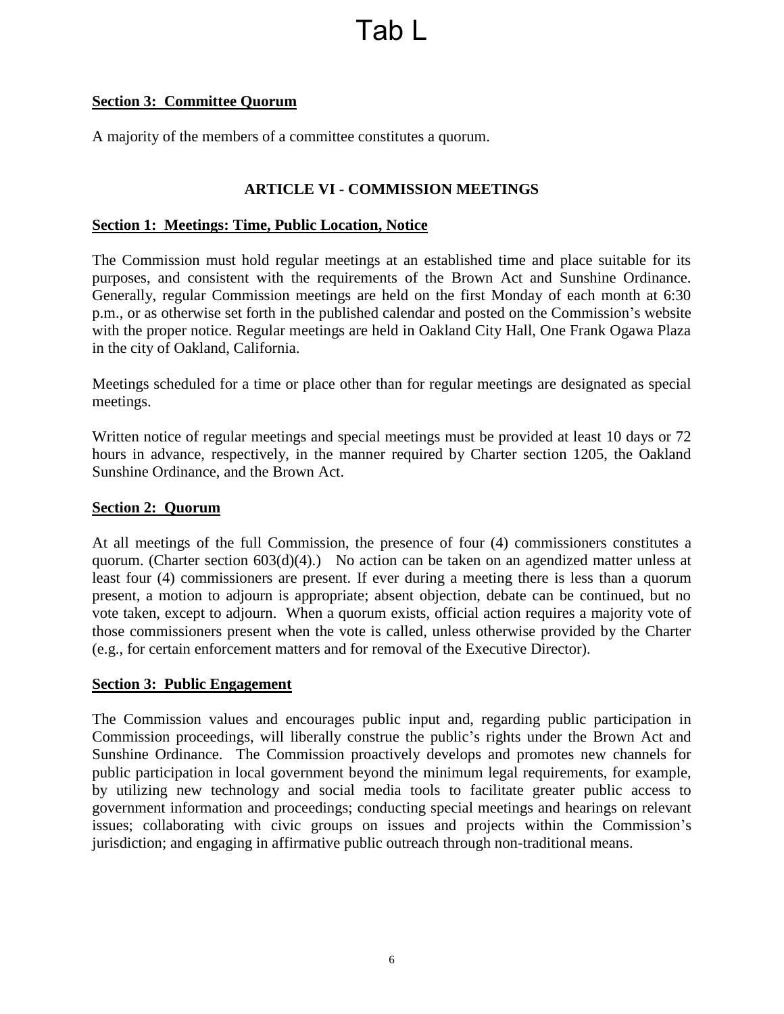## <span id="page-5-0"></span>**Section 3: Committee Quorum**

A majority of the members of a committee constitutes a quorum.

### **ARTICLE VI - COMMISSION MEETINGS**

#### <span id="page-5-2"></span><span id="page-5-1"></span>**Section 1: Meetings: Time, Public Location, Notice**

The Commission must hold regular meetings at an established time and place suitable for its purposes, and consistent with the requirements of the Brown Act and Sunshine Ordinance. Generally, regular Commission meetings are held on the first Monday of each month at 6:30 p.m., or as otherwise set forth in the published calendar and posted on the Commission's website with the proper notice. Regular meetings are held in Oakland City Hall, One Frank Ogawa Plaza in the city of Oakland, California.

Meetings scheduled for a time or place other than for regular meetings are designated as special meetings.

Written notice of regular meetings and special meetings must be provided at least 10 days or 72 hours in advance, respectively, in the manner required by Charter section 1205, the Oakland Sunshine Ordinance, and the Brown Act.

#### <span id="page-5-3"></span>**Section 2: Quorum**

At all meetings of the full Commission, the presence of four (4) commissioners constitutes a quorum. (Charter section 603(d)(4).) No action can be taken on an agendized matter unless at least four (4) commissioners are present. If ever during a meeting there is less than a quorum present, a motion to adjourn is appropriate; absent objection, debate can be continued, but no vote taken, except to adjourn. When a quorum exists, official action requires a majority vote of those commissioners present when the vote is called, unless otherwise provided by the Charter (e.g., for certain enforcement matters and for removal of the Executive Director).

#### <span id="page-5-4"></span>**Section 3: Public Engagement**

The Commission values and encourages public input and, regarding public participation in Commission proceedings, will liberally construe the public's rights under the Brown Act and Sunshine Ordinance. The Commission proactively develops and promotes new channels for public participation in local government beyond the minimum legal requirements, for example, by utilizing new technology and social media tools to facilitate greater public access to government information and proceedings; conducting special meetings and hearings on relevant issues; collaborating with civic groups on issues and projects within the Commission's jurisdiction; and engaging in affirmative public outreach through non-traditional means.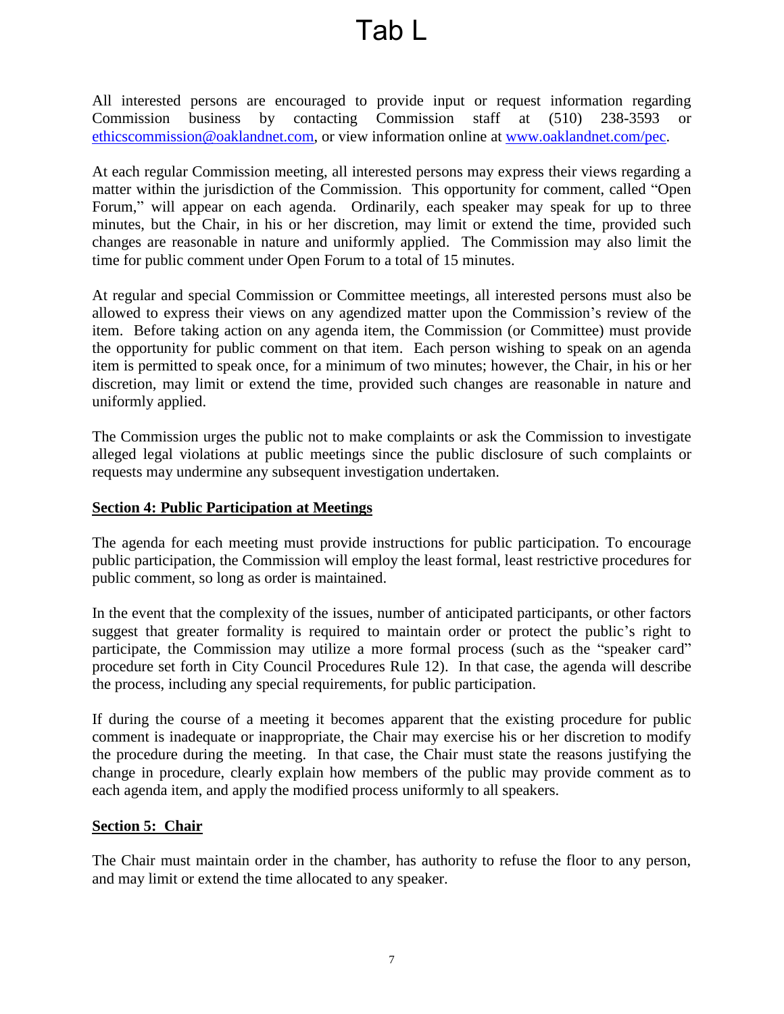All interested persons are encouraged to provide input or request information regarding Commission business by contacting Commission staff at (510) 238-3593 or [ethicscommission@oaklandnet.com,](mailto:ethicscommission@oaklandnet.com) or view information online at [www.oaklandnet.com/pec.](http://www.oaklandnet.com/pec)

At each regular Commission meeting, all interested persons may express their views regarding a matter within the jurisdiction of the Commission. This opportunity for comment, called "Open Forum," will appear on each agenda. Ordinarily, each speaker may speak for up to three minutes, but the Chair, in his or her discretion, may limit or extend the time, provided such changes are reasonable in nature and uniformly applied. The Commission may also limit the time for public comment under Open Forum to a total of 15 minutes.

At regular and special Commission or Committee meetings, all interested persons must also be allowed to express their views on any agendized matter upon the Commission's review of the item. Before taking action on any agenda item, the Commission (or Committee) must provide the opportunity for public comment on that item. Each person wishing to speak on an agenda item is permitted to speak once, for a minimum of two minutes; however, the Chair, in his or her discretion, may limit or extend the time, provided such changes are reasonable in nature and uniformly applied.

The Commission urges the public not to make complaints or ask the Commission to investigate alleged legal violations at public meetings since the public disclosure of such complaints or requests may undermine any subsequent investigation undertaken.

#### <span id="page-6-0"></span>**Section 4: Public Participation at Meetings**

The agenda for each meeting must provide instructions for public participation. To encourage public participation, the Commission will employ the least formal, least restrictive procedures for public comment, so long as order is maintained.

In the event that the complexity of the issues, number of anticipated participants, or other factors suggest that greater formality is required to maintain order or protect the public's right to participate, the Commission may utilize a more formal process (such as the "speaker card" procedure set forth in City Council Procedures Rule 12). In that case, the agenda will describe the process, including any special requirements, for public participation.

If during the course of a meeting it becomes apparent that the existing procedure for public comment is inadequate or inappropriate, the Chair may exercise his or her discretion to modify the procedure during the meeting. In that case, the Chair must state the reasons justifying the change in procedure, clearly explain how members of the public may provide comment as to each agenda item, and apply the modified process uniformly to all speakers.

#### <span id="page-6-1"></span>**Section 5: Chair**

The Chair must maintain order in the chamber, has authority to refuse the floor to any person, and may limit or extend the time allocated to any speaker.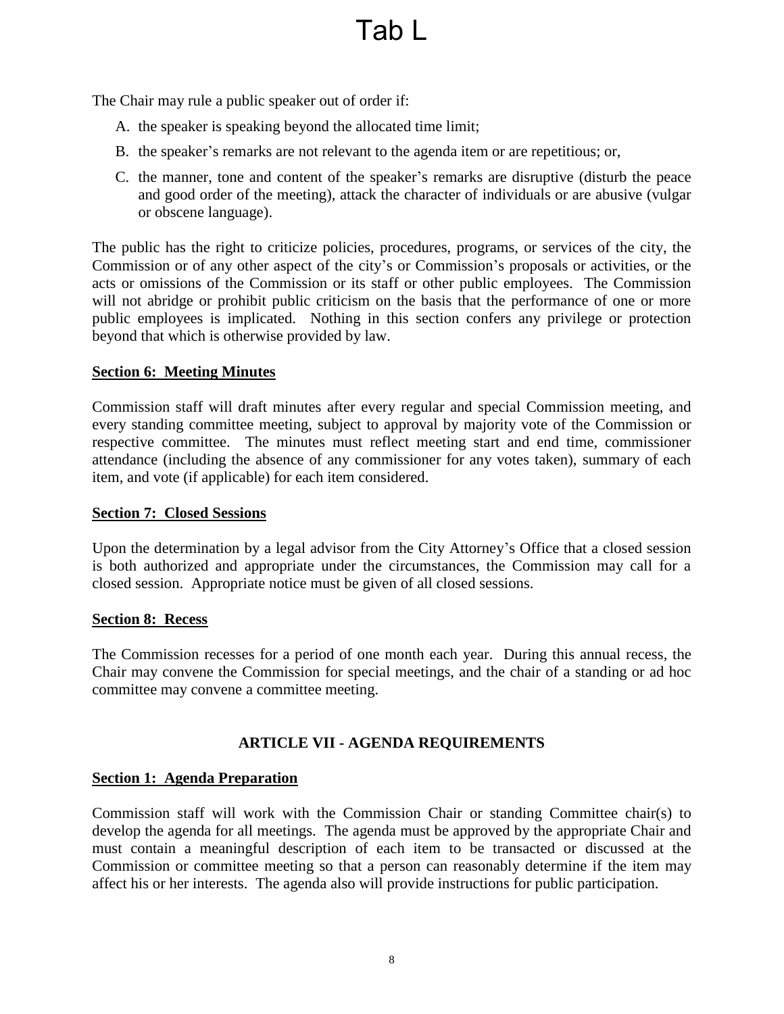The Chair may rule a public speaker out of order if:

- A. the speaker is speaking beyond the allocated time limit;
- B. the speaker's remarks are not relevant to the agenda item or are repetitious; or,
- C. the manner, tone and content of the speaker's remarks are disruptive (disturb the peace and good order of the meeting), attack the character of individuals or are abusive (vulgar or obscene language).

The public has the right to criticize policies, procedures, programs, or services of the city, the Commission or of any other aspect of the city's or Commission's proposals or activities, or the acts or omissions of the Commission or its staff or other public employees. The Commission will not abridge or prohibit public criticism on the basis that the performance of one or more public employees is implicated. Nothing in this section confers any privilege or protection beyond that which is otherwise provided by law.

## <span id="page-7-0"></span>**Section 6: Meeting Minutes**

Commission staff will draft minutes after every regular and special Commission meeting, and every standing committee meeting, subject to approval by majority vote of the Commission or respective committee. The minutes must reflect meeting start and end time, commissioner attendance (including the absence of any commissioner for any votes taken), summary of each item, and vote (if applicable) for each item considered.

### <span id="page-7-1"></span>**Section 7: Closed Sessions**

Upon the determination by a legal advisor from the City Attorney's Office that a closed session is both authorized and appropriate under the circumstances, the Commission may call for a closed session. Appropriate notice must be given of all closed sessions.

#### <span id="page-7-2"></span>**Section 8: Recess**

The Commission recesses for a period of one month each year. During this annual recess, the Chair may convene the Commission for special meetings, and the chair of a standing or ad hoc committee may convene a committee meeting.

# **ARTICLE VII - AGENDA REQUIREMENTS**

# <span id="page-7-4"></span><span id="page-7-3"></span>**Section 1: Agenda Preparation**

Commission staff will work with the Commission Chair or standing Committee chair(s) to develop the agenda for all meetings. The agenda must be approved by the appropriate Chair and must contain a meaningful description of each item to be transacted or discussed at the Commission or committee meeting so that a person can reasonably determine if the item may affect his or her interests. The agenda also will provide instructions for public participation.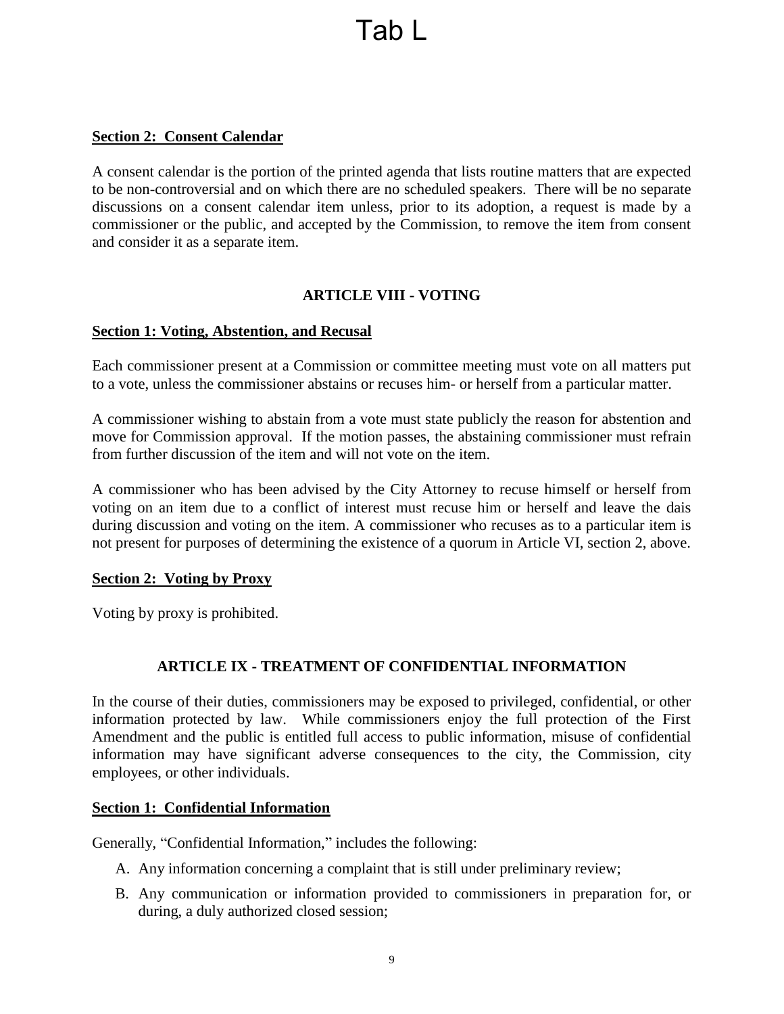### <span id="page-8-0"></span>**Section 2: Consent Calendar**

A consent calendar is the portion of the printed agenda that lists routine matters that are expected to be non-controversial and on which there are no scheduled speakers. There will be no separate discussions on a consent calendar item unless, prior to its adoption, a request is made by a commissioner or the public, and accepted by the Commission, to remove the item from consent and consider it as a separate item.

## **ARTICLE VIII - VOTING**

#### <span id="page-8-2"></span><span id="page-8-1"></span>**Section 1: Voting, Abstention, and Recusal**

Each commissioner present at a Commission or committee meeting must vote on all matters put to a vote, unless the commissioner abstains or recuses him- or herself from a particular matter.

A commissioner wishing to abstain from a vote must state publicly the reason for abstention and move for Commission approval. If the motion passes, the abstaining commissioner must refrain from further discussion of the item and will not vote on the item.

A commissioner who has been advised by the City Attorney to recuse himself or herself from voting on an item due to a conflict of interest must recuse him or herself and leave the dais during discussion and voting on the item. A commissioner who recuses as to a particular item is not present for purposes of determining the existence of a quorum in Article VI, section 2, above.

#### <span id="page-8-3"></span>**Section 2: Voting by Proxy**

Voting by proxy is prohibited.

#### **ARTICLE IX - TREATMENT OF CONFIDENTIAL INFORMATION**

<span id="page-8-4"></span>In the course of their duties, commissioners may be exposed to privileged, confidential, or other information protected by law. While commissioners enjoy the full protection of the First Amendment and the public is entitled full access to public information, misuse of confidential information may have significant adverse consequences to the city, the Commission, city employees, or other individuals.

#### <span id="page-8-5"></span>**Section 1: Confidential Information**

Generally, "Confidential Information," includes the following:

- A. Any information concerning a complaint that is still under preliminary review;
- B. Any communication or information provided to commissioners in preparation for, or during, a duly authorized closed session;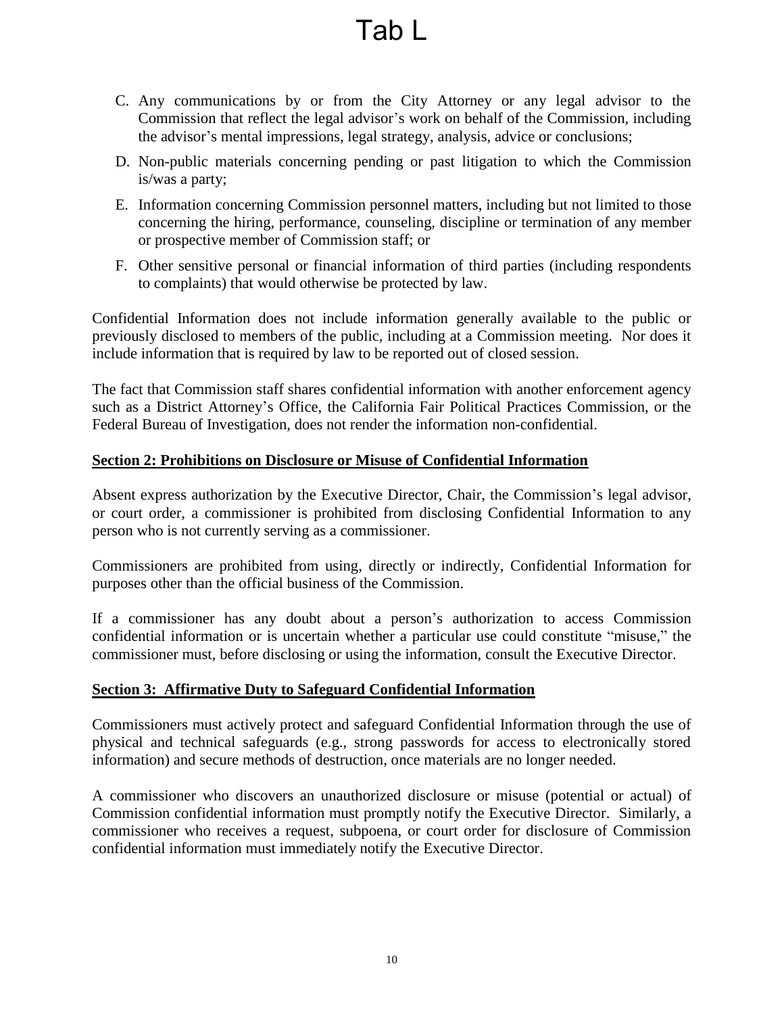- C. Any communications by or from the City Attorney or any legal advisor to the Commission that reflect the legal advisor's work on behalf of the Commission, including the advisor's mental impressions, legal strategy, analysis, advice or conclusions;
- D. Non-public materials concerning pending or past litigation to which the Commission is/was a party;
- E. Information concerning Commission personnel matters, including but not limited to those concerning the hiring, performance, counseling, discipline or termination of any member or prospective member of Commission staff; or
- F. Other sensitive personal or financial information of third parties (including respondents to complaints) that would otherwise be protected by law.

Confidential Information does not include information generally available to the public or previously disclosed to members of the public, including at a Commission meeting. Nor does it include information that is required by law to be reported out of closed session.

The fact that Commission staff shares confidential information with another enforcement agency such as a District Attorney's Office, the California Fair Political Practices Commission, or the Federal Bureau of Investigation, does not render the information non-confidential.

## <span id="page-9-0"></span>**Section 2: Prohibitions on Disclosure or Misuse of Confidential Information**

Absent express authorization by the Executive Director, Chair, the Commission's legal advisor, or court order, a commissioner is prohibited from disclosing Confidential Information to any person who is not currently serving as a commissioner.

Commissioners are prohibited from using, directly or indirectly, Confidential Information for purposes other than the official business of the Commission.

If a commissioner has any doubt about a person's authorization to access Commission confidential information or is uncertain whether a particular use could constitute "misuse," the commissioner must, before disclosing or using the information, consult the Executive Director.

#### <span id="page-9-1"></span>**Section 3: Affirmative Duty to Safeguard Confidential Information**

Commissioners must actively protect and safeguard Confidential Information through the use of physical and technical safeguards (e.g., strong passwords for access to electronically stored information) and secure methods of destruction, once materials are no longer needed.

A commissioner who discovers an unauthorized disclosure or misuse (potential or actual) of Commission confidential information must promptly notify the Executive Director. Similarly, a commissioner who receives a request, subpoena, or court order for disclosure of Commission confidential information must immediately notify the Executive Director.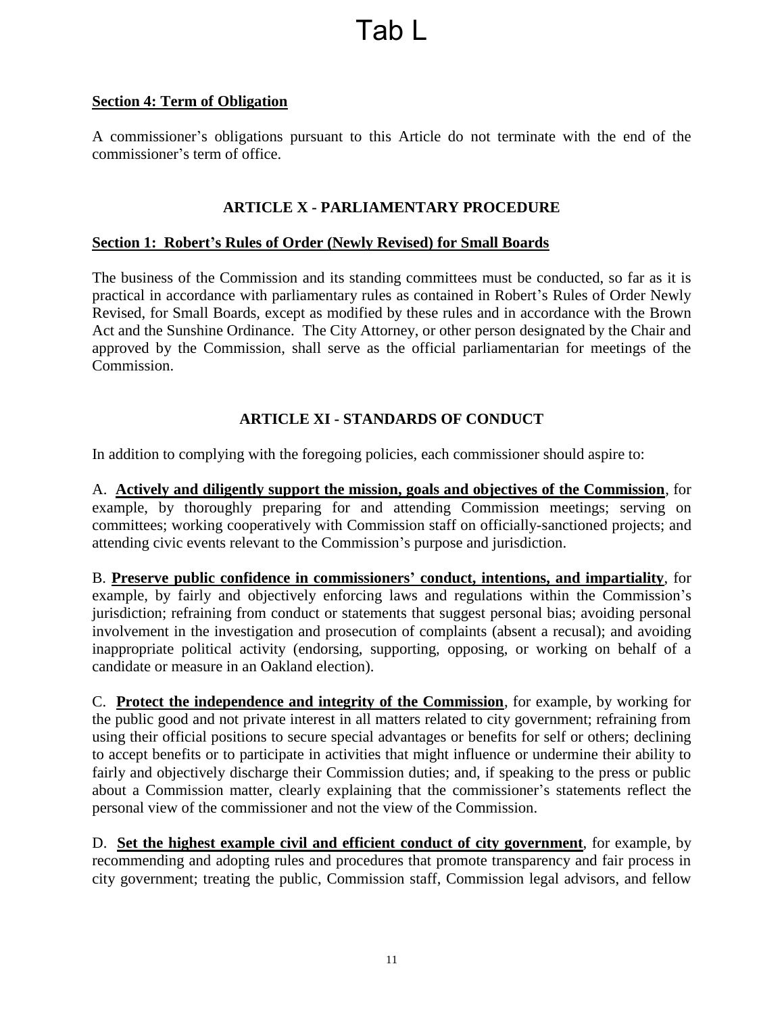### <span id="page-10-0"></span>**Section 4: Term of Obligation**

A commissioner's obligations pursuant to this Article do not terminate with the end of the commissioner's term of office.

# **ARTICLE X - PARLIAMENTARY PROCEDURE**

### <span id="page-10-2"></span><span id="page-10-1"></span>**Section 1: Robert's Rules of Order (Newly Revised) for Small Boards**

The business of the Commission and its standing committees must be conducted, so far as it is practical in accordance with parliamentary rules as contained in Robert's Rules of Order Newly Revised, for Small Boards, except as modified by these rules and in accordance with the Brown Act and the Sunshine Ordinance. The City Attorney, or other person designated by the Chair and approved by the Commission, shall serve as the official parliamentarian for meetings of the Commission.

# **ARTICLE XI - STANDARDS OF CONDUCT**

<span id="page-10-3"></span>In addition to complying with the foregoing policies, each commissioner should aspire to:

A. **Actively and diligently support the mission, goals and objectives of the Commission**, for example, by thoroughly preparing for and attending Commission meetings; serving on committees; working cooperatively with Commission staff on officially-sanctioned projects; and attending civic events relevant to the Commission's purpose and jurisdiction.

B. **Preserve public confidence in commissioners' conduct, intentions, and impartiality**, for example, by fairly and objectively enforcing laws and regulations within the Commission's jurisdiction; refraining from conduct or statements that suggest personal bias; avoiding personal involvement in the investigation and prosecution of complaints (absent a recusal); and avoiding inappropriate political activity (endorsing, supporting, opposing, or working on behalf of a candidate or measure in an Oakland election).

C. **Protect the independence and integrity of the Commission**, for example, by working for the public good and not private interest in all matters related to city government; refraining from using their official positions to secure special advantages or benefits for self or others; declining to accept benefits or to participate in activities that might influence or undermine their ability to fairly and objectively discharge their Commission duties; and, if speaking to the press or public about a Commission matter, clearly explaining that the commissioner's statements reflect the personal view of the commissioner and not the view of the Commission.

D. **Set the highest example civil and efficient conduct of city government**, for example, by recommending and adopting rules and procedures that promote transparency and fair process in city government; treating the public, Commission staff, Commission legal advisors, and fellow